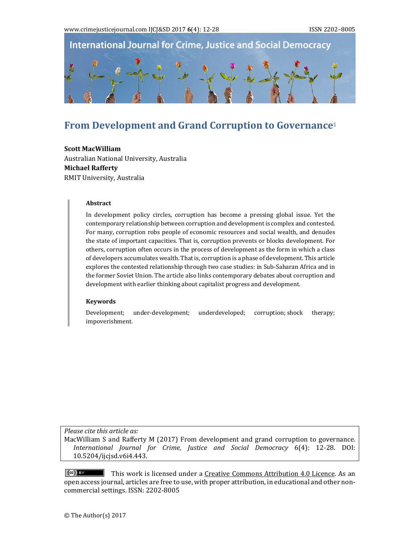

# **From Development and Grand Corruption to Governance**<sup>1</sup>

**Scott MacWilliam** Australian National University, Australia **Michael Rafferty** RMIT University, Australia

#### **Abstract**

In development policy circles, corruption has become a pressing global issue. Yet the contemporary relationship between corruption and development is complex and contested. For many, corruption robs people of economic resources and social wealth, and denudes the state of important capacities. That is, corruption prevents or blocks development. For others, corruption often occurs in the process of development as the form in which a class of developers accumulates wealth. That is, corruption is a phase of development. This article explores the contested relationship through two case studies: in Sub-Saharan Africa and in the former Soviet Union. The article also links contemporary debates about corruption and development with earlier thinking about capitalist progress and development.

#### **Keywords**

Development; under-development; underdeveloped; corruption; shock therapy; impoverishment. 

*Please cite this article as:*

MacWilliam S and Rafferty M (2017) From development and grand corruption to governance. *International Journal for Crime, Justice and Social Democracy* 6(4): 12‐28. DOI: 10.5204/ijcjsd.v6i4.443. 

 $\left(\mathrm{cc}\right)$  by This work is licensed under a Creative Commons Attribution 4.0 Licence. As an open access journal, articles are free to use, with proper attribution, in educational and other noncommercial settings. ISSN: 2202-8005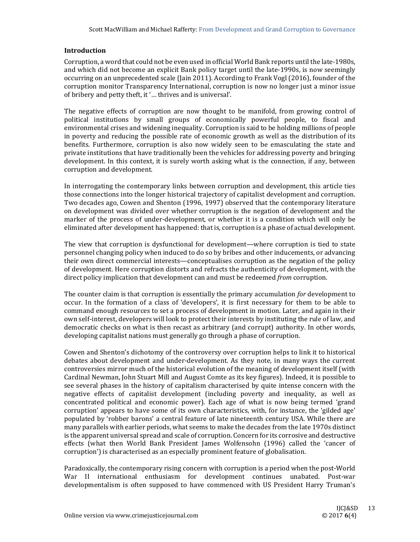## **Introduction**

Corruption, a word that could not be even used in official World Bank reports until the late-1980s, and which did not become an explicit Bank policy target until the late-1990s, is now seemingly occurring on an unprecedented scale (Jain 2011). According to Frank Vogl (2016), founder of the corruption monitor Transparency International, corruption is now no longer just a minor issue of bribery and petty theft, it '... thrives and is universal'.

The negative effects of corruption are now thought to be manifold, from growing control of political institutions by small groups of economically powerful people, to fiscal and environmental crises and widening inequality. Corruption is said to be holding millions of people in poverty and reducing the possible rate of economic growth as well as the distribution of its benefits. Furthermore, corruption is also now widely seen to be emasculating the state and private institutions that have traditionally been the vehicles for addressing poverty and bringing development. In this context, it is surely worth asking what is the connection, if any, between corruption and development.

In interrogating the contemporary links between corruption and development, this article ties those connections into the longer historical trajectory of capitalist development and corruption. Two decades ago, Cowen and Shenton (1996, 1997) observed that the contemporary literature on development was divided over whether corruption is the negation of development and the marker of the process of under-development, or whether it is a condition which will only be eliminated after development has happened: that is, corruption is a phase of actual development.

The view that corruption is dysfunctional for development—where corruption is tied to state personnel changing policy when induced to do so by bribes and other inducements, or advancing their own direct commercial interests—conceptualises corruption as the negation of the policy of development. Here corruption distorts and refracts the authenticity of development, with the direct policy implication that development can and must be redeemed *from* corruption.

The counter claim is that corruption is essentially the primary accumulation *for* development to occur. In the formation of a class of 'developers', it is first necessary for them to be able to command enough resources to set a process of development in motion. Later, and again in their own self-interest, developers will look to protect their interests by instituting the rule of law, and democratic checks on what is then recast as arbitrary (and corrupt) authority. In other words, developing capitalist nations must generally go through a phase of corruption.

Cowen and Shenton's dichotomy of the controversy over corruption helps to link it to historical debates about development and under-development. As they note, in many ways the current controversies mirror much of the historical evolution of the meaning of development itself (with Cardinal Newman, John Stuart Mill and August Comte as its key figures). Indeed, it is possible to see several phases in the history of capitalism characterised by quite intense concern with the negative effects of capitalist development (including poverty and inequality, as well as concentrated political and economic power). Each age of what is now being termed 'grand corruption' appears to have some of its own characteristics, with, for instance, the 'gilded age' populated by 'robber barons' a central feature of late nineteenth century USA. While there are many parallels with earlier periods, what seems to make the decades from the late 1970s distinct is the apparent universal spread and scale of corruption. Concern for its corrosive and destructive effects (what then World Bank President James Wolfensohn (1996) called the 'cancer of corruption') is characterised as an especially prominent feature of globalisation.

Paradoxically, the contemporary rising concern with corruption is a period when the post-World War II international enthusiasm for development continues unabated. Post-war developmentalism is often supposed to have commenced with US President Harry Truman's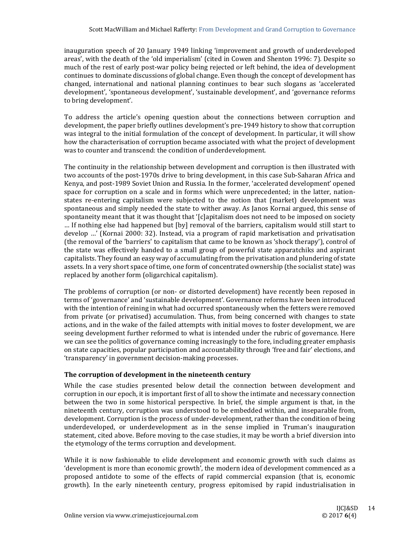inauguration speech of 20 January 1949 linking 'improvement and growth of underdeveloped areas', with the death of the 'old imperialism' (cited in Cowen and Shenton 1996: 7). Despite so much of the rest of early post-war policy being rejected or left behind, the idea of development continues to dominate discussions of global change. Even though the concept of development has changed, international and national planning continues to bear such slogans as 'accelerated development', 'spontaneous development', 'sustainable development', and 'governance reforms to bring development'.

To address the article's opening question about the connections between corruption and development, the paper briefly outlines development's pre-1949 history to show that corruption was integral to the initial formulation of the concept of development. In particular, it will show how the characterisation of corruption became associated with what the project of development was to counter and transcend: the condition of underdevelopment.

The continuity in the relationship between development and corruption is then illustrated with two accounts of the post-1970s drive to bring development, in this case Sub-Saharan Africa and Kenya, and post-1989 Soviet Union and Russia. In the former, 'accelerated development' opened space for corruption on a scale and in forms which were unprecedented; in the latter, nationstates re-entering capitalism were subjected to the notion that (market) development was spontaneous and simply needed the state to wither away. As Janos Kornai argued, this sense of spontaneity meant that it was thought that '[c]apitalism does not need to be imposed on society ... If nothing else had happened but [by] removal of the barriers, capitalism would still start to develop ...' (Kornai 2000: 32). Instead, via a program of rapid marketisation and privatisation (the removal of the 'barriers' to capitalism that came to be known as 'shock therapy'), control of the state was effectively handed to a small group of powerful state apparatchiks and aspirant capitalists. They found an easy way of accumulating from the privatisation and plundering of state assets. In a very short space of time, one form of concentrated ownership (the socialist state) was replaced by another form (oligarchical capitalism).

The problems of corruption (or non- or distorted development) have recently been reposed in terms of 'governance' and 'sustainable development'. Governance reforms have been introduced with the intention of reining in what had occurred spontaneously when the fetters were removed from private (or privatised) accumulation. Thus, from being concerned with changes to state actions, and in the wake of the failed attempts with initial moves to foster development, we are seeing development further reformed to what is intended under the rubric of governance. Here we can see the politics of governance coming increasingly to the fore, including greater emphasis on state capacities, popular participation and accountability through 'free and fair' elections, and 'transparency' in government decision-making processes.

## **The corruption of development in the nineteenth century**

While the case studies presented below detail the connection between development and corruption in our epoch, it is important first of all to show the intimate and necessary connection between the two in some historical perspective. In brief, the simple argument is that, in the nineteenth century, corruption was understood to be embedded within, and inseparable from, development. Corruption is the process of under-development, rather than the condition of being underdeveloped, or underdevelopment as in the sense implied in Truman's inauguration statement, cited above. Before moving to the case studies, it may be worth a brief diversion into the etymology of the terms corruption and development.

While it is now fashionable to elide development and economic growth with such claims as 'development is more than economic growth', the modern idea of development commenced as a proposed antidote to some of the effects of rapid commercial expansion (that is, economic growth). In the early nineteenth century, progress epitomised by rapid industrialisation in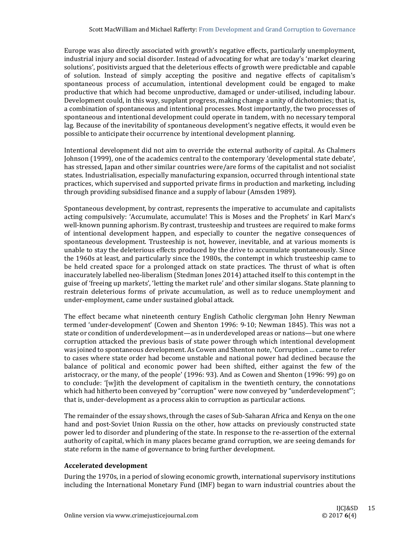Europe was also directly associated with growth's negative effects, particularly unemployment, industrial injury and social disorder. Instead of advocating for what are today's 'market clearing solutions', positivists argued that the deleterious effects of growth were predictable and capable of solution. Instead of simply accepting the positive and negative effects of capitalism's spontaneous process of accumulation, intentional development could be engaged to make productive that which had become unproductive, damaged or under-utilised, including labour. Development could, in this way, supplant progress, making change a unity of dichotomies; that is, a combination of spontaneous and intentional processes. Most importantly, the two processes of spontaneous and intentional development could operate in tandem, with no necessary temporal lag. Because of the inevitability of spontaneous development's negative effects, it would even be possible to anticipate their occurrence by intentional development planning.

Intentional development did not aim to override the external authority of capital. As Chalmers Johnson (1999), one of the academics central to the contemporary 'developmental state debate', has stressed, Japan and other similar countries were/are forms of the capitalist and not socialist states. Industrialisation, especially manufacturing expansion, occurred through intentional state practices, which supervised and supported private firms in production and marketing, including through providing subsidised finance and a supply of labour (Amsden 1989).

Spontaneous development, by contrast, represents the imperative to accumulate and capitalists acting compulsively: 'Accumulate, accumulate! This is Moses and the Prophets' in Karl Marx's well-known punning aphorism. By contrast, trusteeship and trustees are required to make forms of intentional development happen, and especially to counter the negative consequences of spontaneous development. Trusteeship is not, however, inevitable, and at various moments is unable to stay the deleterious effects produced by the drive to accumulate spontaneously. Since the 1960s at least, and particularly since the 1980s, the contempt in which trusteeship came to be held created space for a prolonged attack on state practices. The thrust of what is often inaccurately labelled neo-liberalism (Stedman Jones 2014) attached itself to this contempt in the guise of 'freeing up markets', 'letting the market rule' and other similar slogans. State planning to restrain deleterious forms of private accumulation, as well as to reduce unemployment and under-employment, came under sustained global attack.

The effect became what nineteenth century English Catholic clergyman John Henry Newman termed 'under-development' (Cowen and Shenton 1996: 9-10; Newman 1845). This was not a state or condition of underdevelopment—as in underdeveloped areas or nations—but one where corruption attacked the previous basis of state power through which intentional development was joined to spontaneous development. As Cowen and Shenton note, 'Corruption ... came to refer to cases where state order had become unstable and national power had declined because the balance of political and economic power had been shifted, either against the few of the aristocracy, or the many, of the people'  $(1996: 93)$ . And as Cowen and Shenton  $(1996: 99)$  go on to conclude: '[w]ith the development of capitalism in the twentieth century, the connotations which had hitherto been conveyed by "corruption" were now conveyed by "underdevelopment"; that is, under-development as a process akin to corruption as particular actions.

The remainder of the essay shows, through the cases of Sub-Saharan Africa and Kenya on the one hand and post-Soviet Union Russia on the other, how attacks on previously constructed state power led to disorder and plundering of the state. In response to the re-assertion of the external authority of capital, which in many places became grand corruption, we are seeing demands for state reform in the name of governance to bring further development.

## **Accelerated development**

During the 1970s, in a period of slowing economic growth, international supervisory institutions including the International Monetary Fund (IMF) began to warn industrial countries about the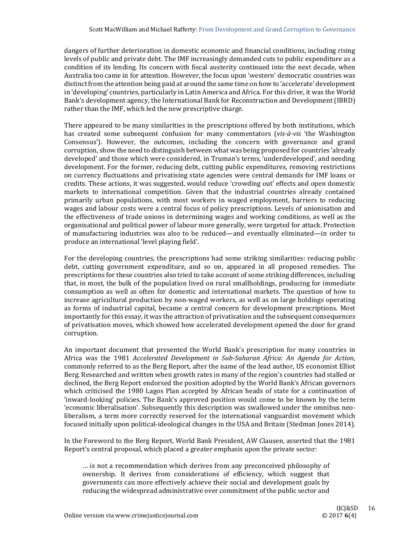dangers of further deterioration in domestic economic and financial conditions, including rising levels of public and private debt. The IMF increasingly demanded cuts to public expenditure as a condition of its lending. Its concern with fiscal austerity continued into the next decade, when Australia too came in for attention. However, the focus upon 'western' democratic countries was distinct from the attention being paid at around the same time on how to 'accelerate' development in 'developing' countries, particularly in Latin America and Africa. For this drive, it was the World Bank's development agency, the International Bank for Reconstruction and Development (IBRD) rather than the IMF, which led the new prescriptive charge.

There appeared to be many similarities in the prescriptions offered by both institutions, which has created some subsequent confusion for many commentators (*vis*-*à*-*vis* 'the Washington Consensus'). However, the outcomes, including the concern with governance and grand corruption, show the need to distinguish between what was being proposed for countries 'already developed' and those which were considered, in Truman's terms, 'underdeveloped', and needing development. For the former, reducing debt, cutting public expenditures, removing restrictions on currency fluctuations and privatising state agencies were central demands for IMF loans or credits. These actions, it was suggested, would reduce 'crowding out' effects and open domestic markets to international competition. Given that the industrial countries already contained primarily urban populations, with most workers in waged employment, barriers to reducing wages and labour costs were a central focus of policy prescriptions. Levels of unionisation and the effectiveness of trade unions in determining wages and working conditions, as well as the organisational and political power of labour more generally, were targeted for attack. Protection of manufacturing industries was also to be reduced—and eventually eliminated—in order to produce an international 'level playing field'.

For the developing countries, the prescriptions had some striking similarities: reducing public debt, cutting government expenditure, and so on, appeared in all proposed remedies. The prescriptions for these countries also tried to take account of some striking differences, including that, in most, the bulk of the population lived on rural smallholdings, producing for immediate consumption as well as often for domestic and international markets. The question of how to increase agricultural production by non-waged workers, as well as on large holdings operating as forms of industrial capital, became a central concern for development prescriptions. Most importantly for this essay, it was the attraction of privatisation and the subsequent consequences of privatisation moves, which showed how accelerated development opened the door for grand corruption. 

An important document that presented the World Bank's prescription for many countries in Africa was the 1981 *Accelerated Development in Sub‐Saharan Africa: An Agenda for Action*, commonly referred to as the Berg Report, after the name of the lead author, US economist Elliot Berg. Researched and written when growth rates in many of the region's countries had stalled or declined, the Berg Report endorsed the position adopted by the World Bank's African governors which criticised the 1980 Lagos Plan accepted by African heads of state for a continuation of 'inward-looking' policies. The Bank's approved position would come to be known by the term 'economic liberalisation'. Subsequently this description was swallowed under the omnibus neoliberalism, a term more correctly reserved for the international vanguardist movement which focused initially upon political-ideological changes in the USA and Britain (Stedman Jones 2014).

In the Foreword to the Berg Report, World Bank President, AW Clausen, asserted that the 1981 Report's central proposal, which placed a greater emphasis upon the private sector:

... is not a recommendation which derives from any preconceived philosophy of ownership. It derives from considerations of efficiency, which suggest that governments can more effectively achieve their social and development goals by reducing the widespread administrative over commitment of the public sector and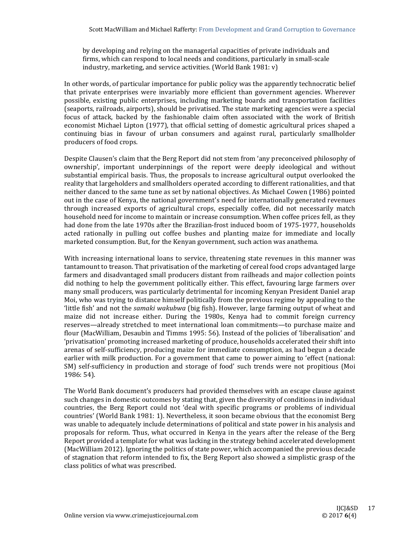by developing and relying on the managerial capacities of private individuals and firms, which can respond to local needs and conditions, particularly in small-scale industry, marketing, and service activities. (World Bank 1981:  $v$ )

In other words, of particular importance for public policy was the apparently technocratic belief that private enterprises were invariably more efficient than government agencies. Wherever possible, existing public enterprises, including marketing boards and transportation facilities (seaports, railroads, airports), should be privatised. The state marketing agencies were a special focus of attack, backed by the fashionable claim often associated with the work of British economist Michael Lipton (1977), that official setting of domestic agricultural prices shaped a continuing bias in favour of urban consumers and against rural, particularly smallholder producers of food crops.

Despite Clausen's claim that the Berg Report did not stem from 'any preconceived philosophy of ownership', important underpinnings of the report were deeply ideological and without substantial empirical basis. Thus, the proposals to increase agricultural output overlooked the reality that largeholders and smallholders operated according to different rationalities, and that neither danced to the same tune as set by national objectives. As Michael Cowen (1986) pointed out in the case of Kenya, the national government's need for internationally generated revenues through increased exports of agricultural crops, especially coffee, did not necessarily match household need for income to maintain or increase consumption. When coffee prices fell, as they had done from the late 1970s after the Brazilian-frost induced boom of 1975-1977, households acted rationally in pulling out coffee bushes and planting maize for immediate and locally marketed consumption. But, for the Kenyan government, such action was anathema.

With increasing international loans to service, threatening state revenues in this manner was tantamount to treason. That privatisation of the marketing of cereal food crops advantaged large farmers and disadvantaged small producers distant from railheads and major collection points did nothing to help the government politically either. This effect, favouring large farmers over many small producers, was particularly detrimental for incoming Kenyan President Daniel arap Moi, who was trying to distance himself politically from the previous regime by appealing to the 'little fish' and not the *samaki wakubwa* (big fish). However, large farming output of wheat and maize did not increase either. During the 1980s, Kenya had to commit foreign currency reserves—already stretched to meet international loan commitments—to purchase maize and flour (MacWilliam, Desaubin and Timms 1995: 56). Instead of the policies of 'liberalisation' and 'privatisation' promoting increased marketing of produce, households accelerated their shift into arenas of self-sufficiency, producing maize for immediate consumption, as had begun a decade earlier with milk production. For a government that came to power aiming to 'effect (national: SM) self-sufficiency in production and storage of food' such trends were not propitious (Moi 1986: 54). 

The World Bank document's producers had provided themselves with an escape clause against such changes in domestic outcomes by stating that, given the diversity of conditions in individual countries, the Berg Report could not 'deal with specific programs or problems of individual countries' (World Bank 1981: 1). Nevertheless, it soon became obvious that the economist Berg was unable to adequately include determinations of political and state power in his analysis and proposals for reform. Thus, what occurred in Kenya in the years after the release of the Berg Report provided a template for what was lacking in the strategy behind accelerated development (MacWilliam 2012). Ignoring the politics of state power, which accompanied the previous decade of stagnation that reform intended to fix, the Berg Report also showed a simplistic grasp of the class politics of what was prescribed.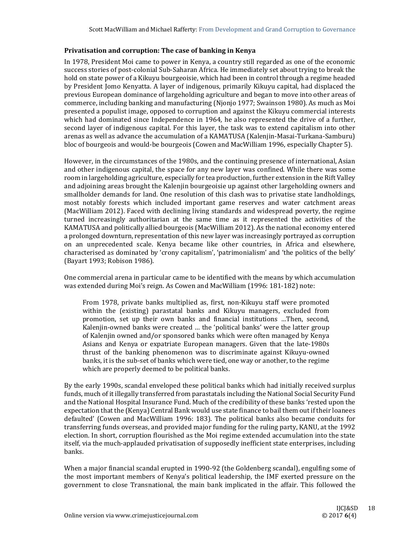## **Privatisation and corruption: The case of banking in Kenya**

In 1978, President Moi came to power in Kenya, a country still regarded as one of the economic success stories of post-colonial Sub-Saharan Africa. He immediately set about trying to break the hold on state power of a Kikuyu bourgeoisie, which had been in control through a regime headed by President Jomo Kenyatta. A layer of indigenous, primarily Kikuyu capital, had displaced the previous European dominance of largeholding agriculture and began to move into other areas of commerce, including banking and manufacturing (Nionjo 1977; Swainson 1980). As much as Moi presented a populist image, opposed to corruption and against the Kikuyu commercial interests which had dominated since Independence in 1964, he also represented the drive of a further, second layer of indigenous capital. For this layer, the task was to extend capitalism into other arenas as well as advance the accumulation of a KAMATUSA (Kalenjin-Masai-Turkana-Samburu) bloc of bourgeois and would-be bourgeois (Cowen and MacWilliam 1996, especially Chapter 5).

However, in the circumstances of the 1980s, and the continuing presence of international, Asian and other indigenous capital, the space for any new layer was confined. While there was some room in largeholding agriculture, especially for tea production, further extension in the Rift Valley and adjoining areas brought the Kalenjin bourgeoisie up against other largeholding owners and smallholder demands for land. One resolution of this clash was to privatise state landholdings, most notably forests which included important game reserves and water catchment areas (MacWilliam 2012). Faced with declining living standards and widespread poverty, the regime turned increasingly authoritarian at the same time as it represented the activities of the KAMATUSA and politically allied bourgeois (MacWilliam 2012). As the national economy entered a prolonged downturn, representation of this new layer was increasingly portrayed as corruption on an unprecedented scale. Kenya became like other countries, in Africa and elsewhere, characterised as dominated by 'crony capitalism', 'patrimonialism' and 'the politics of the belly' (Bayart 1993; Robison 1986).

One commercial arena in particular came to be identified with the means by which accumulation was extended during Moi's reign. As Cowen and MacWilliam (1996: 181-182) note:

From 1978, private banks multiplied as, first, non-Kikuyu staff were promoted within the (existing) parastatal banks and Kikuyu managers, excluded from promotion, set up their own banks and financial institutions ...Then, second, Kalenjin-owned banks were created ... the 'political banks' were the latter group of Kalenjin owned and/or sponsored banks which were often managed by Kenya Asians and Kenya or expatriate European managers. Given that the late-1980s thrust of the banking phenomenon was to discriminate against Kikuyu-owned banks, it is the sub-set of banks which were tied, one way or another, to the regime which are properly deemed to be political banks.

By the early 1990s, scandal enveloped these political banks which had initially received surplus funds, much of it illegally transferred from parastatals including the National Social Security Fund and the National Hospital Insurance Fund. Much of the credibility of these banks 'rested upon the expectation that the (Kenya) Central Bank would use state finance to bail them out if their loanees defaulted' (Cowen and MacWilliam 1996: 183). The political banks also became conduits for transferring funds overseas, and provided major funding for the ruling party, KANU, at the 1992 election. In short, corruption flourished as the Moi regime extended accumulation into the state itself, via the much-applauded privatisation of supposedly inefficient state enterprises, including banks. 

When a major financial scandal erupted in 1990-92 (the Goldenberg scandal), engulfing some of the most important members of Kenya's political leadership, the IMF exerted pressure on the government to close Transnational, the main bank implicated in the affair. This followed the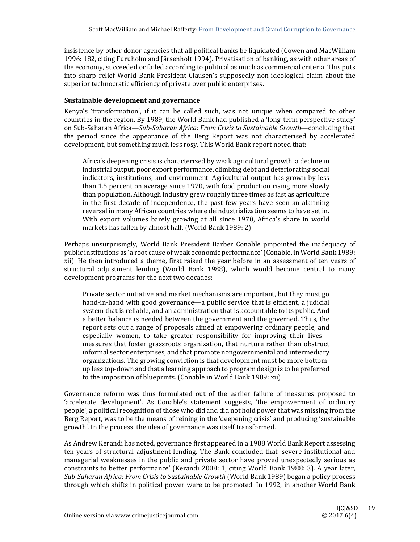insistence by other donor agencies that all political banks be liquidated (Cowen and MacWilliam 1996: 182, citing Furuholm and Järsenholt 1994). Privatisation of banking, as with other areas of the economy, succeeded or failed according to political as much as commercial criteria. This puts into sharp relief World Bank President Clausen's supposedly non-ideological claim about the superior technocratic efficiency of private over public enterprises.

## **Sustainable development and governance**

Kenya's 'transformation', if it can be called such, was not unique when compared to other countries in the region. By 1989, the World Bank had published a 'long-term perspective study' on Sub‐Saharan Africa—*Sub‐Saharan Africa: From Crisis to Sustainable Growth*—concluding that the period since the appearance of the Berg Report was not characterised by accelerated development, but something much less rosy. This World Bank report noted that:

Africa's deepening crisis is characterized by weak agricultural growth, a decline in industrial output, poor export performance, climbing debt and deteriorating social indicators, institutions, and environment. Agricultural output has grown by less than 1.5 percent on average since 1970, with food production rising more slowly than population. Although industry grew roughly three times as fast as agriculture in the first decade of independence, the past few years have seen an alarming reversal in many African countries where deindustrialization seems to have set in. With export volumes barely growing at all since 1970, Africa's share in world markets has fallen by almost half. (World Bank 1989: 2)

Perhaps unsurprisingly, World Bank President Barber Conable pinpointed the inadequacy of public institutions as 'a root cause of weak economic performance' (Conable, in World Bank 1989: xii). He then introduced a theme, first raised the year before in an assessment of ten years of structural adjustment lending (World Bank 1988), which would become central to many development programs for the next two decades:

Private sector initiative and market mechanisms are important, but they must go hand-in-hand with good governance—a public service that is efficient, a judicial system that is reliable, and an administration that is accountable to its public. And a better balance is needed between the government and the governed. Thus, the report sets out a range of proposals aimed at empowering ordinary people, and especially women, to take greater responsibility for improving their lives measures that foster grassroots organization, that nurture rather than obstruct informal sector enterprises, and that promote nongovernmental and intermediary organizations. The growing conviction is that development must be more bottomup less top-down and that a learning approach to program design is to be preferred to the imposition of blueprints. (Conable in World Bank 1989: xii)

Governance reform was thus formulated out of the earlier failure of measures proposed to 'accelerate development'. As Conable's statement suggests, 'the empowerment of ordinary people', a political recognition of those who did and did not hold power that was missing from the Berg Report, was to be the means of reining in the 'deepening crisis' and producing 'sustainable growth'. In the process, the idea of governance was itself transformed.

As Andrew Kerandi has noted, governance first appeared in a 1988 World Bank Report assessing ten years of structural adjustment lending. The Bank concluded that 'severe institutional and managerial weaknesses in the public and private sector have proved unexpectedly serious as constraints to better performance' (Kerandi 2008: 1, citing World Bank 1988: 3). A year later, *Sub‐Saharan Africa: From Crisis to Sustainable Growth* (World Bank 1989) began a policy process through which shifts in political power were to be promoted. In 1992, in another World Bank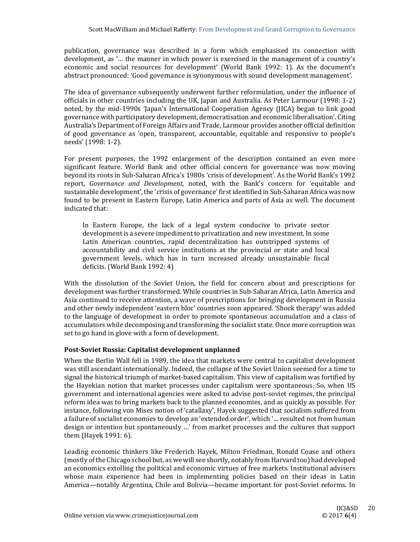publication, governance was described in a form which emphasised its connection with development, as '... the manner in which power is exercised in the management of a country's economic and social resources for development' (World Bank 1992: 1). As the document's abstract pronounced: 'Good governance is synonymous with sound development management'.

The idea of governance subsequently underwent further reformulation, under the influence of officials in other countries including the UK, Japan and Australia. As Peter Larmour (1998: 1-2) noted, by the mid-1990s 'Japan's International Cooperation Agency (JICA) began to link good governance with participatory development, democratisation and economic liberalisation'. Citing Australia's Department of Foreign Affairs and Trade, Larmour provides another official definition of good governance as 'open, transparent, accountable, equitable and responsive to people's needs' (1998: 1-2).

For present purposes, the 1992 enlargement of the description contained an even more significant feature. World Bank and other official concern for governance was now moving beyond its roots in Sub-Saharan Africa's 1980s 'crisis of development'. As the World Bank's 1992 report, *Governance and Development*, noted, with the Bank's concern for 'equitable and sustainable development', the 'crisis of governance' first identified in Sub-Saharan Africa was now found to be present in Eastern Europe, Latin America and parts of Asia as well. The document indicated that:

In Eastern Europe, the lack of a legal system conducive to private sector development is a severe impediment to privatization and new investment. In some Latin American countries, rapid decentralization has outstripped systems of accountability and civil service institutions at the provincial or state and local government levels, which has in turn increased already unsustainable fiscal deficits. (World Bank 1992: 4)

With the dissolution of the Soviet Union, the field for concern about and prescriptions for development was further transformed. While countries in Sub-Saharan Africa, Latin America and Asia continued to receive attention, a wave of prescriptions for bringing development in Russia and other newly independent 'eastern bloc' countries soon appeared. 'Shock therapy' was added to the language of development in order to promote spontaneous accumulation and a class of accumulators while decomposing and transforming the socialist state. Once more corruption was set to go hand in glove with a form of development.

## **Post‐Soviet Russia: Capitalist development unplanned**

When the Berlin Wall fell in 1989, the idea that markets were central to capitalist development was still ascendant internationally. Indeed, the collapse of the Soviet Union seemed for a time to signal the historical triumph of market-based capitalism. This view of capitalism was fortified by the Hayekian notion that market processes under capitalism were spontaneous. So, when US government and international agencies were asked to advise post-soviet regimes, the principal reform idea was to bring markets back to the planned economies, and as quickly as possible. For instance, following von Mises notion of 'catallaxy', Hayek suggested that socialism suffered from a failure of socialist economies to develop an 'extended order', which '... resulted not from human design or intention but spontaneously ...' from market processes and the cultures that support them (Hayek 1991:  $6$ ).

Leading economic thinkers like Frederich Hayek, Milton Friedman, Ronald Coase and others (mostly of the Chicago school but, as we will see shortly, notably from Harvard too) had developed an economics extolling the political and economic virtues of free markets. Institutional advisers whose main experience had been in implementing policies based on their ideas in Latin America—notably Argentina, Chile and Bolivia—became important for post-Soviet reforms. In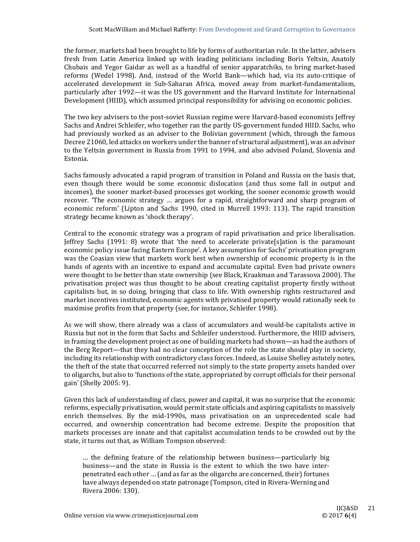the former, markets had been brought to life by forms of authoritarian rule. In the latter, advisers fresh from Latin America linked up with leading politicians including Boris Yeltsin, Anatoly Chubais and Yegor Gaidar as well as a handful of senior apparatchiks, to bring market-based reforms (Wedel 1998). And, instead of the World Bank—which had, via its auto-critique of accelerated development in Sub-Saharan Africa, moved away from market-fundamentalism, particularly after 1992—it was the US government and the Harvard Institute for International Development (HIID), which assumed principal responsibility for advising on economic policies.

The two key advisers to the post-soviet Russian regime were Harvard-based economists Jeffrey Sachs and Andrei Schleifer, who together ran the partly US-government funded HIID. Sachs, who had previously worked as an adviser to the Bolivian government (which, through the famous Decree 21060, led attacks on workers under the banner of structural adjustment), was an advisor to the Yeltsin government in Russia from 1991 to 1994, and also advised Poland, Slovenia and Estonia. 

Sachs famously advocated a rapid program of transition in Poland and Russia on the basis that, even though there would be some economic dislocation (and thus some fall in output and incomes), the sooner market-based processes got working, the sooner economic growth would recover. The economic strategy ... argues for a rapid, straightforward and sharp program of economic reform' (Lipton and Sachs 1990, cited in Murrell 1993: 113). The rapid transition strategy became known as 'shock therapy'.

Central to the economic strategy was a program of rapid privatisation and price liberalisation.  $I$  Ieffrey Sachs (1991: 8) wrote that 'the need to accelerate private [s] ation is the paramount economic policy issue facing Eastern Europe'. A key assumption for Sachs' privatisation program was the Coasian view that markets work best when ownership of economic property is in the hands of agents with an incentive to expand and accumulate capital. Even bad private owners were thought to be better than state ownership (see Black, Kraakman and Tarassova 2000). The privatisation project was thus thought to be about creating capitalist property firstly without capitalists but, in so doing, bringing that class to life. With ownership rights restructured and market incentives instituted, economic agents with privatised property would rationally seek to maximise profits from that property (see, for instance, Schleifer 1998).

As we will show, there already was a class of accumulators and would-be capitalists active in Russia but not in the form that Sachs and Schleifer understood. Furthermore, the HIID advisers, in framing the development project as one of building markets had shown—as had the authors of the Berg Report—that they had no clear conception of the role the state should play in society, including its relationship with contradictory class forces. Indeed, as Louise Shelley astutely notes, the theft of the state that occurred referred not simply to the state property assets handed over to oligarchs, but also to 'functions of the state, appropriated by corrupt officials for their personal gain' (Shelly 2005: 9). 

Given this lack of understanding of class, power and capital, it was no surprise that the economic reforms, especially privatisation, would permit state officials and aspiring capitalists to massively enrich themselves. By the mid-1990s, mass privatisation on an unprecedented scale had occurred, and ownership concentration had become extreme. Despite the proposition that markets processes are innate and that capitalist accumulation tends to be crowded out by the state, it turns out that, as William Tompson observed:

... the defining feature of the relationship between business—particularly big business—and the state in Russia is the extent to which the two have interpenetrated each other ... (and as far as the oligarchs are concerned, their) fortunes have always depended on state patronage (Tompson, cited in Rivera-Werning and Rivera 2006: 130).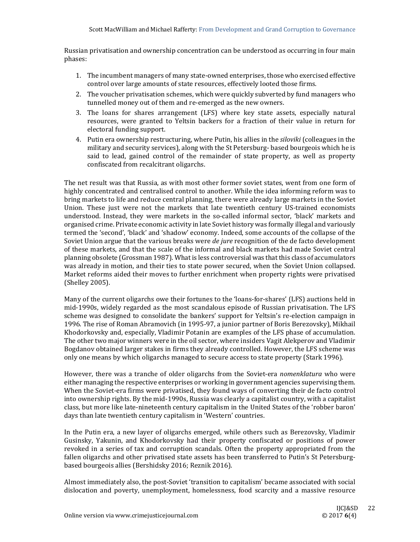Russian privatisation and ownership concentration can be understood as occurring in four main phases: 

- 1. The incumbent managers of many state-owned enterprises, those who exercised effective control over large amounts of state resources, effectively looted those firms.
- 2. The voucher privatisation schemes, which were quickly subverted by fund managers who tunnelled money out of them and re-emerged as the new owners.
- 3. The loans for shares arrangement (LFS) where key state assets, especially natural resources, were granted to Yeltsin backers for a fraction of their value in return for electoral funding support.
- 4. Putin era ownership restructuring, where Putin, his allies in the *siloviki* (colleagues in the military and security services), along with the St Petersburg- based bourgeois which he is said to lead, gained control of the remainder of state property, as well as property confiscated from recalcitrant oligarchs.

The net result was that Russia, as with most other former soviet states, went from one form of highly concentrated and centralised control to another. While the idea informing reform was to bring markets to life and reduce central planning, there were already large markets in the Soviet Union. These just were not the markets that late twentieth century US-trained economists understood. Instead, they were markets in the so-called informal sector, 'black' markets and organised crime. Private economic activity in late Soviet history was formally illegal and variously termed the 'second', 'black' and 'shadow' economy. Indeed, some accounts of the collapse of the Soviet Union argue that the various breaks were *de jure* recognition of the de facto development of these markets, and that the scale of the informal and black markets had made Soviet central planning obsolete (Grossman 1987). What is less controversial was that this class of accumulators was already in motion, and their ties to state power secured, when the Soviet Union collapsed. Market reforms aided their moves to further enrichment when property rights were privatised (Shelley 2005). 

Many of the current oligarchs owe their fortunes to the 'loans-for-shares' (LFS) auctions held in mid-1990s, widely regarded as the most scandalous episode of Russian privatisation. The LFS scheme was designed to consolidate the bankers' support for Yeltsin's re-election campaign in 1996. The rise of Roman Abramovich (in 1995-97, a junior partner of Boris Berezovsky), Mikhail Khodorkovsky and, especially, Vladimir Potanin are examples of the LFS phase of accumulation. The other two major winners were in the oil sector, where insiders Vagit Alekperov and Vladimir Bogdanov obtained larger stakes in firms they already controlled. However, the LFS scheme was only one means by which oligarchs managed to secure access to state property (Stark 1996).

However, there was a tranche of older oligarchs from the Soviet-era *nomenklatura* who were either managing the respective enterprises or working in government agencies supervising them. When the Soviet-era firms were privatised, they found ways of converting their de facto control into ownership rights. By the mid-1990s, Russia was clearly a capitalist country, with a capitalist class, but more like late-nineteenth century capitalism in the United States of the 'robber baron' days than late twentieth century capitalism in 'Western' countries.

In the Putin era, a new layer of oligarchs emerged, while others such as Berezovsky, Vladimir Gusinsky, Yakunin, and Khodorkovsky had their property confiscated or positions of power revoked in a series of tax and corruption scandals. Often the property appropriated from the fallen oligarchs and other privatised state assets has been transferred to Putin's St Petersburgbased bourgeois allies (Bershidsky 2016; Reznik 2016).

Almost immediately also, the post-Soviet 'transition to capitalism' became associated with social dislocation and poverty, unemployment, homelessness, food scarcity and a massive resource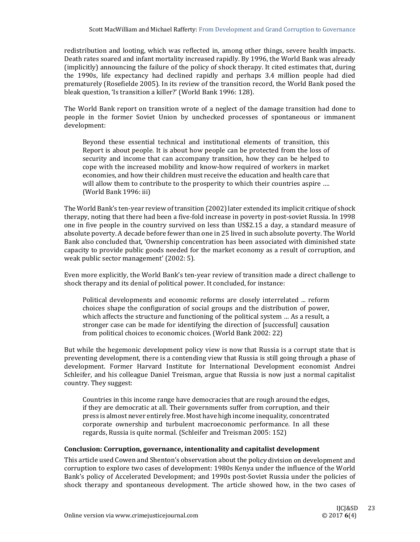redistribution and looting, which was reflected in, among other things, severe health impacts. Death rates soared and infant mortality increased rapidly. By 1996, the World Bank was already (implicitly) announcing the failure of the policy of shock therapy. It cited estimates that, during the 1990s, life expectancy had declined rapidly and perhaps 3.4 million people had died prematurely (Rosefielde 2005). In its review of the transition record, the World Bank posed the bleak question, 'Is transition a killer?' (World Bank 1996: 128).

The World Bank report on transition wrote of a neglect of the damage transition had done to people in the former Soviet Union by unchecked processes of spontaneous or immanent development: 

Beyond these essential technical and institutional elements of transition, this Report is about people. It is about how people can be protected from the loss of security and income that can accompany transition, how they can be helped to cope with the increased mobility and know-how required of workers in market economies, and how their children must receive the education and health care that will allow them to contribute to the prosperity to which their countries aspire .... (World Bank 1996: iii)

The World Bank's ten-year review of transition (2002) later extended its implicit critique of shock therapy, noting that there had been a five-fold increase in poverty in post-soviet Russia. In 1998 one in five people in the country survived on less than US\$2.15 a day, a standard measure of absolute poverty. A decade before fewer than one in 25 lived in such absolute poverty. The World Bank also concluded that, 'Ownership concentration has been associated with diminished state capacity to provide public goods needed for the market economy as a result of corruption, and weak public sector management' (2002: 5).

Even more explicitly, the World Bank's ten-year review of transition made a direct challenge to shock therapy and its denial of political power. It concluded, for instance:

Political developments and economic reforms are closely interrelated ... reform choices shape the configuration of social groups and the distribution of power, which affects the structure and functioning of the political system ... As a result, a stronger case can be made for identifying the direction of [successful] causation from political choices to economic choices. (World Bank 2002: 22)

But while the hegemonic development policy view is now that Russia is a corrupt state that is preventing development, there is a contending view that Russia is still going through a phase of development. Former Harvard Institute for International Development economist Andrei Schleifer, and his colleague Daniel Treisman, argue that Russia is now just a normal capitalist country. They suggest:

Countries in this income range have democracies that are rough around the edges, if they are democratic at all. Their governments suffer from corruption, and their press is almost never entirely free. Most have high income inequality, concentrated corporate ownership and turbulent macroeconomic performance. In all these regards, Russia is quite normal. (Schleifer and Treisman 2005: 152)

## **Conclusion: Corruption, governance, intentionality and capitalist development**

This article used Cowen and Shenton's observation about the policy division on development and corruption to explore two cases of development: 1980s Kenya under the influence of the World Bank's policy of Accelerated Development; and 1990s post-Soviet Russia under the policies of shock therapy and spontaneous development. The article showed how, in the two cases of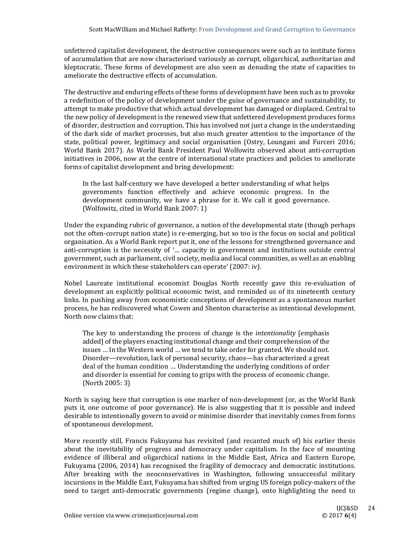unfettered capitalist development, the destructive consequences were such as to institute forms of accumulation that are now characterised variously as corrupt, oligarchical, authoritarian and kleptocratic. These forms of development are also seen as denuding the state of capacities to ameliorate the destructive effects of accumulation.

The destructive and enduring effects of these forms of development have been such as to provoke a redefinition of the policy of development under the guise of governance and sustainability, to attempt to make productive that which actual development has damaged or displaced. Central to the new policy of development is the renewed view that unfettered development produces forms of disorder, destruction and corruption. This has involved not just a change in the understanding of the dark side of market processes, but also much greater attention to the importance of the state, political power, legitimacy and social organisation (Ostry, Loungani and Furceri 2016; World Bank 2017). As World Bank President Paul Wolfowitz observed about anti-corruption initiatives in 2006, now at the centre of international state practices and policies to ameliorate forms of capitalist development and bring development:

In the last half-century we have developed a better understanding of what helps governments function effectively and achieve economic progress. In the development community, we have a phrase for it. We call it good governance. (Wolfowitz, cited in World Bank 2007: 1)

Under the expanding rubric of governance, a notion of the developmental state (though perhaps not the often-corrupt nation state) is re-emerging, but so too is the focus on social and political organisation. As a World Bank report put it, one of the lessons for strengthened governance and anti-corruption is the necessity of '... capacity in government and institutions outside central government, such as parliament, civil society, media and local communities, as well as an enabling environment in which these stakeholders can operate' (2007: iv).

Nobel Laureate institutional economist Douglas North recently gave this re-evaluation of development an explicitly political economic twist, and reminded us of its nineteenth century links. In pushing away from economistic conceptions of development as a spontaneous market process, he has rediscovered what Cowen and Shenton characterise as intentional development. North now claims that:

The key to understanding the process of change is the *intentionality* [emphasis] added] of the players enacting institutional change and their comprehension of the issues ... In the Western world ... we tend to take order for granted. We should not. Disorder—revolution, lack of personal security, chaos—has characterized a great deal of the human condition ... Understanding the underlying conditions of order and disorder is essential for coming to grips with the process of economic change.  $(North 2005: 3)$ 

North is saying here that corruption is one marker of non-development (or, as the World Bank puts it, one outcome of poor governance). He is also suggesting that it is possible and indeed desirable to intentionally govern to avoid or minimise disorder that inevitably comes from forms of spontaneous development.

More recently still, Francis Fukuyama has revisited (and recanted much of) his earlier thesis about the inevitability of progress and democracy under capitalism. In the face of mounting evidence of illiberal and oligarchical nations in the Middle East, Africa and Eastern Europe, Fukuyama (2006, 2014) has recognised the fragility of democracy and democratic institutions. After breaking with the neoconservatives in Washington, following unsuccessful military incursions in the Middle East, Fukuyama has shifted from urging US foreign policy-makers of the need to target anti-democratic governments (regime change), onto highlighting the need to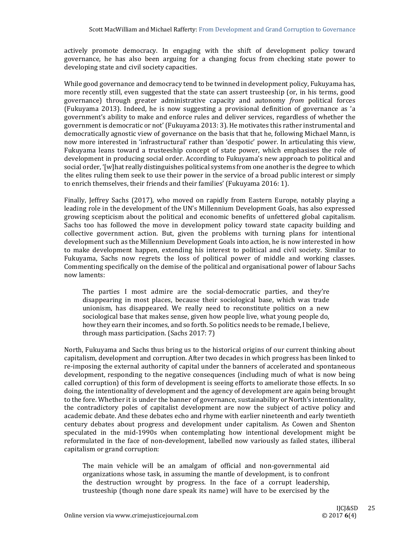actively promote democracy. In engaging with the shift of development policy toward governance, he has also been arguing for a changing focus from checking state power to developing state and civil society capacities.

While good governance and democracy tend to be twinned in development policy, Fukuyama has, more recently still, even suggested that the state can assert trusteeship (or, in his terms, good governance) through greater administrative capacity and autonomy *from* political forces (Fukuyama 2013). Indeed, he is now suggesting a provisional definition of governance as 'a government's ability to make and enforce rules and deliver services, regardless of whether the government is democratic or not' (Fukuyama 2013: 3). He motivates this rather instrumental and democratically agnostic view of governance on the basis that that he, following Michael Mann, is now more interested in 'infrastructural' rather than 'despotic' power. In articulating this view, Fukuyama leans toward a trusteeship concept of state power, which emphasises the role of development in producing social order. According to Fukuyama's new approach to political and social order, '[w]hat really distinguishes political systems from one another is the degree to which the elites ruling them seek to use their power in the service of a broad public interest or simply to enrich themselves, their friends and their families' (Fukuyama 2016: 1).

Finally, Jeffrey Sachs (2017), who moved on rapidly from Eastern Europe, notably playing a leading role in the development of the UN's Millennium Development Goals, has also expressed growing scepticism about the political and economic benefits of unfettered global capitalism. Sachs too has followed the move in development policy toward state capacity building and collective government action. But, given the problems with turning plans for intentional development such as the Millennium Development Goals into action, he is now interested in how to make development happen, extending his interest to political and civil society. Similar to Fukuyama, Sachs now regrets the loss of political power of middle and working classes. Commenting specifically on the demise of the political and organisational power of labour Sachs now laments: 

The parties I most admire are the social-democratic parties, and they're disappearing in most places, because their sociological base, which was trade unionism, has disappeared. We really need to reconstitute politics on a new sociological base that makes sense, given how people live, what young people do, how they earn their incomes, and so forth. So politics needs to be remade, I believe, through mass participation.  $(Sachs 2017: 7)$ 

North, Fukuyama and Sachs thus bring us to the historical origins of our current thinking about capitalism, development and corruption. After two decades in which progress has been linked to re-imposing the external authority of capital under the banners of accelerated and spontaneous development, responding to the negative consequences (including much of what is now being called corruption) of this form of development is seeing efforts to ameliorate those effects. In so doing, the intentionality of development and the agency of development are again being brought to the fore. Whether it is under the banner of governance, sustainability or North's intentionality, the contradictory poles of capitalist development are now the subject of active policy and academic debate. And these debates echo and rhyme with earlier nineteenth and early twentieth century debates about progress and development under capitalism. As Cowen and Shenton speculated in the mid-1990s when contemplating how intentional development might be reformulated in the face of non-development, labelled now variously as failed states, illiberal capitalism or grand corruption:

The main vehicle will be an amalgam of official and non-governmental aid organizations whose task, in assuming the mantle of development, is to confront the destruction wrought by progress. In the face of a corrupt leadership, trusteeship (though none dare speak its name) will have to be exercised by the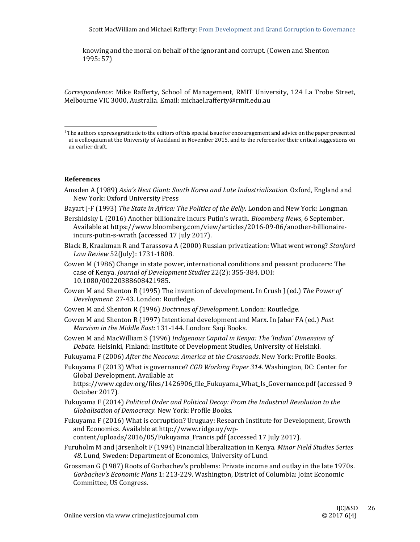knowing and the moral on behalf of the ignorant and corrupt. (Cowen and Shenton  $1995:57$ 

Correspondence: Mike Rafferty, School of Management, RMIT University, 124 La Trobe Street, Melbourne VIC 3000, Australia. Email: michael.rafferty@rmit.edu.au

#### **References**

 

- Amsden A (1989) *Asia's Next Giant*: *South Korea and Late Industrialization*. Oxford, England and New York: Oxford University Press
- Bayart J-F (1993) *The State in Africa: The Politics of the Belly.* London and New York: Longman.
- Bershidsky L (2016) Another billionaire incurs Putin's wrath. *Bloomberg News*, 6 September. Available at https://www.bloomberg.com/view/articles/2016-09-06/another-billionaireincurs-putin-s-wrath (accessed 17 July 2017).
- Black B, Kraakman R and Tarassova A (2000) Russian privatization: What went wrong? *Stanford Law Review* 52(July): 1731‐1808.
- Cowen M (1986) Change in state power, international conditions and peasant producers: The case of Kenya. *Journal of Development Studies* 22(2): 355‐384. DOI: 10.1080/00220388608421985.
- Cowen M and Shenton R (1995) The invention of development. In Crush J (ed.) The Power of *Development*: 27‐43. London: Routledge.
- Cowen M and Shenton R (1996) *Doctrines of Development*. London: Routledge.
- Cowen M and Shenton R (1997) Intentional development and Marx. In Jabar FA (ed.) *Post Marxism in the Middle East*: 131‐144. London: Saqi Books.
- Cowen M and MacWilliam S (1996) *Indigenous Capital in Kenya: The 'Indian' Dimension of* Debate. Helsinki, Finland: Institute of Development Studies, University of Helsinki.
- Fukuyama F (2006) *After the Neocons: America at the Crossroads*. New York: Profile Books.
- Fukuyama F (2013) What is governance? *CGD Working Paper 314*. Washington, DC: Center for Global Development. Available at

https://www.cgdev.org/files/1426906\_file\_Fukuyama\_What\_Is\_Governance.pdf (accessed 9 October 2017). 

- Fukuyama F (2014) *Political Order and Political Decay: From the Industrial Revolution to the Globalisation of Democracy*. New York: Profile Books.
- Fukuyama F (2016) What is corruption? Uruguay: Research Institute for Development, Growth and Economics. Available at http://www.ridge.uy/wp-

content/uploads/2016/05/Fukuyama\_Francis.pdf (accessed 17 July 2017).

- Furuholm M and Järsenholt F (1994) Financial liberalization in Kenya. *Minor Field Studies Series* 48. Lund, Sweden: Department of Economics, University of Lund.
- Grossman G (1987) Roots of Gorbachev's problems: Private income and outlay in the late 1970s. *Gorbachev's Economic Plans* 1: 213-229. Washington, District of Columbia: Joint Economic Committee, US Congress.

 $<sup>1</sup>$  The authors express gratitude to the editors of this special issue for encouragement and advice on the paper presented</sup> at a colloquium at the University of Auckland in November 2015, and to the referees for their critical suggestions on an earlier draft.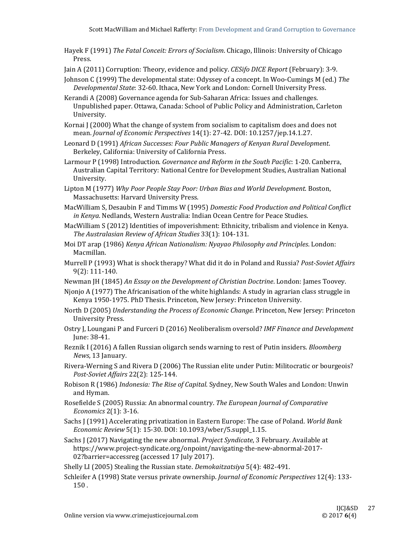- Hayek F (1991) *The Fatal Conceit: Errors of Socialism*. Chicago, Illinois: University of Chicago Press.
- Jain A (2011) Corruption: Theory, evidence and policy. *CESifo DICE Report* (February): 3-9.
- Johnson C (1999) The developmental state: Odyssey of a concept. In Woo-Cumings M (ed.) The *Developmental State*: 32-60. Ithaca, New York and London: Cornell University Press.
- Kerandi A (2008) Governance agenda for Sub-Saharan Africa: Issues and challenges. Unpublished paper. Ottawa, Canada: School of Public Policy and Administration, Carleton University.
- Kornai  $\int$  (2000) What the change of system from socialism to capitalism does and does not mean. *Journal of Economic Perspectives* 14(1): 27‐42. DOI: 10.1257/jep.14.1.27.
- Leonard D (1991) *African Successes: Four Public Managers of Kenyan Rural Development*. Berkeley, California: University of California Press.
- Larmour P (1998) Introduction. *Governance and Reform in the South Pacific*: 1‐20. Canberra, Australian Capital Territory: National Centre for Development Studies, Australian National University.
- Lipton M (1977) *Why Poor People Stay Poor: Urban Bias and World Development*. Boston, Massachusetts: Harvard University Press.
- MacWilliam S, Desaubin F and Timms W (1995) *Domestic Food Production and Political Conflict in Kenya*. Nedlands, Western Australia: Indian Ocean Centre for Peace Studies.
- MacWilliam S (2012) Identities of impoverishment: Ethnicity, tribalism and violence in Kenya. *The Australasian Review of African Studies* 33(1): 104‐131.
- Moi DT arap (1986) *Kenya African Nationalism: Nyayao Philosophy and Principles*. London: Macmillan.
- Murrell P (1993) What is shock therapy? What did it do in Poland and Russia? *Post-Soviet Affairs* 9(2): 111‐140.
- Newman JH (1845) *An Essay on the Development of Christian Doctrine*. London: James Toovey.
- Njonjo A (1977) The Africanisation of the white highlands: A study in agrarian class struggle in Kenya 1950-1975. PhD Thesis. Princeton, New Jersey: Princeton University.
- North D (2005) *Understanding the Process of Economic Change*. Princeton, New Jersey: Princeton University Press.
- Ostry J, Loungani P and Furceri D (2016) Neoliberalism oversold? *IMF Finance and Development* June: 38‐41.
- Reznik I (2016) A fallen Russian oligarch sends warning to rest of Putin insiders. *Bloomberg News*, 13 January.
- Rivera-Werning S and Rivera D (2006) The Russian elite under Putin: Militocratic or bourgeois? *Post‐Soviet Affairs* 22(2): 125‐144.
- Robison R (1986) *Indonesia: The Rise of Capital*. Sydney, New South Wales and London: Unwin and Hyman.
- Rosefielde S (2005) Russia: An abnormal country. *The European Journal of Comparative Economics* 2(1): 3-16.
- Sachs J (1991) Accelerating privatization in Eastern Europe: The case of Poland. World Bank *Economic Review* 5(1): 15‐30. DOI: 10.1093/wber/5.suppl\_1.15.
- Sachs J (2017) Navigating the new abnormal. *Project Syndicate*, 3 February. Available at https://www.project-syndicate.org/onpoint/navigating-the-new-abnormal-2017-02?barrier=accessreg (accessed 17 July 2017).
- Shelly LI (2005) Stealing the Russian state. *Demokaitzatsiya* 5(4): 482-491.
- Schleifer A (1998) State versus private ownership. *Journal of Economic Perspectives* 12(4): 133-150 .